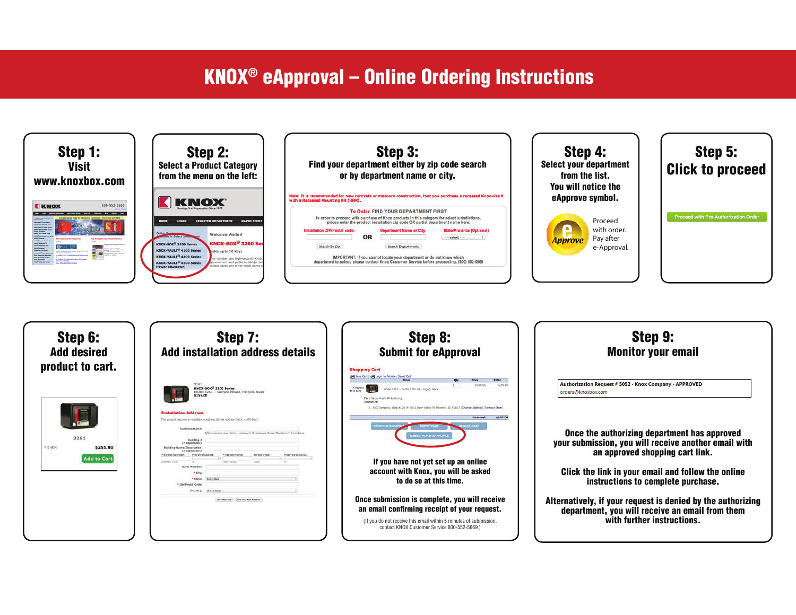## **KNOX<sup>®</sup> eApproval – Online Ordering Instructions**